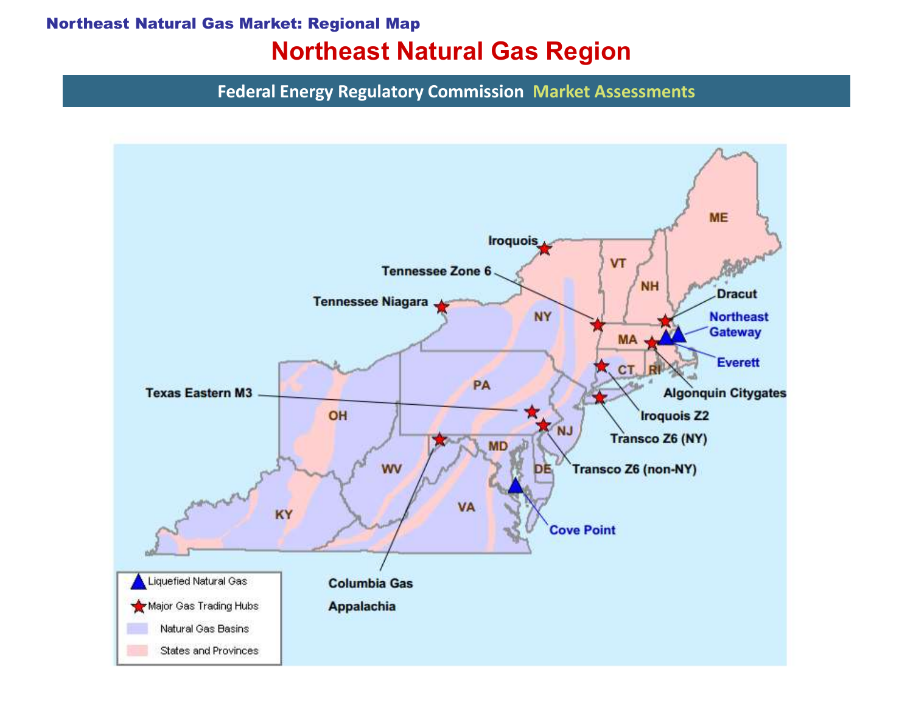## Northeast Natural Gas Market: Regional Map Northeast Natural Gas Region

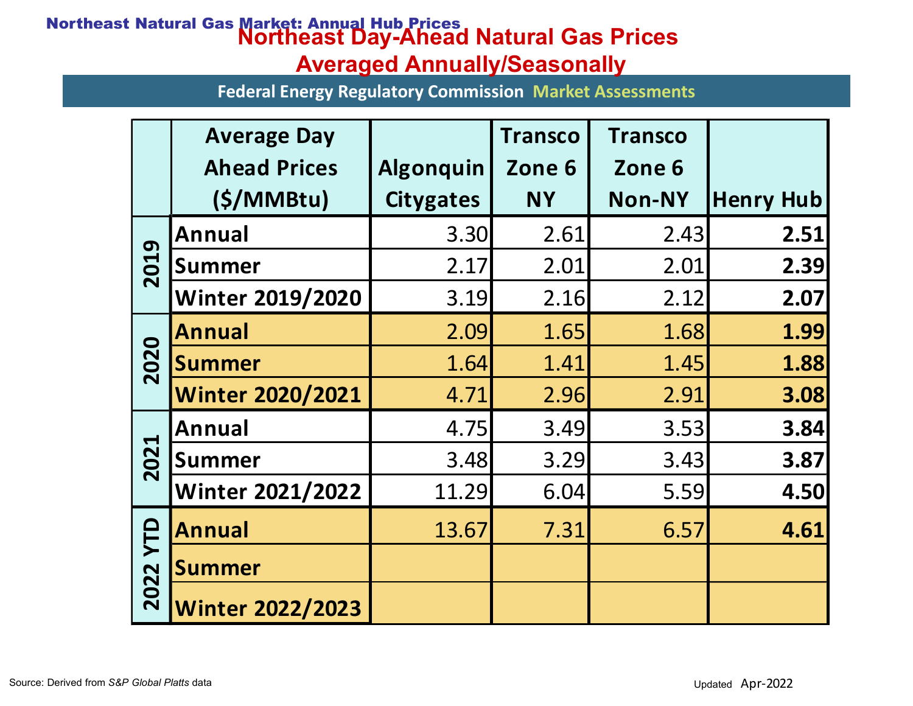# Northeast Day-Ahead Natural Gas Prices Northeast Natural Gas Market: Annual Hub Prices

|                                     | <b>Federal Energy Regulatory Commission Market Assessments</b> | <b>Averaged Annually/Seasonally</b> |                |                |                  |
|-------------------------------------|----------------------------------------------------------------|-------------------------------------|----------------|----------------|------------------|
|                                     | <b>Average Day</b>                                             |                                     | <b>Transco</b> | <b>Transco</b> |                  |
|                                     | <b>Ahead Prices</b>                                            | Algonquin                           | Zone 6         | Zone 6         |                  |
|                                     | (S/MM)                                                         | <b>Citygates</b>                    | <b>NY</b>      | <b>Non-NY</b>  | <b>Henry Hub</b> |
| $\sigma$<br>201                     | Annual                                                         | 3.30                                | 2.61           | 2.43           | 2.51             |
|                                     | <b>Summer</b>                                                  | 2.17                                | 2.01           | 2.01           | 2.39             |
|                                     | Winter 2019/2020                                               | 3.19                                | 2.16           | 2.12           | 2.07             |
| 2020                                | Annual                                                         | 2.09                                | 1.65           | 1.68           | 1.99             |
|                                     | <b>Summer</b>                                                  | 1.64                                | 1.41           | 1.45           | 1.88             |
|                                     | <b>Winter 2020/2021</b>                                        | 4.71                                | 2.96           | 2.91           | 3.08             |
| $\blacktriangleright$<br>202        | Annual                                                         | 4.75                                | 3.49           | 3.53           | 3.84             |
|                                     | <b>Summer</b>                                                  | 3.48                                | 3.29           | 3.43           | 3.87             |
|                                     | <b>Winter 2021/2022</b>                                        | 11.29                               | 6.04           | 5.59           | 4.50             |
| <b>NTD</b><br>22<br>$\overline{20}$ | Annual                                                         | 13.67                               | 7.31           | 6.57           | 4.61             |
|                                     | <b>Summer</b>                                                  |                                     |                |                |                  |
|                                     | <b>Winter 2022/2023</b>                                        |                                     |                |                |                  |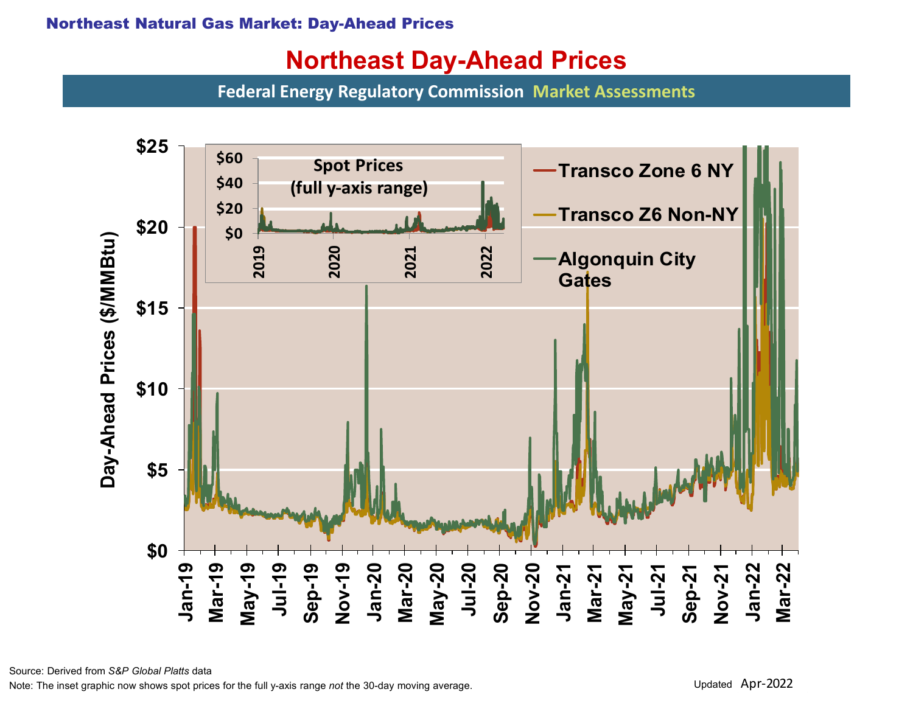# Northeast Day-Ahead Prices

Federal Energy Regulatory Commission Market Assessments



Source: Derived from S&P Global Platts data

Note: The inset graphic now shows spot prices for the full y-axis range not the 30-day moving average.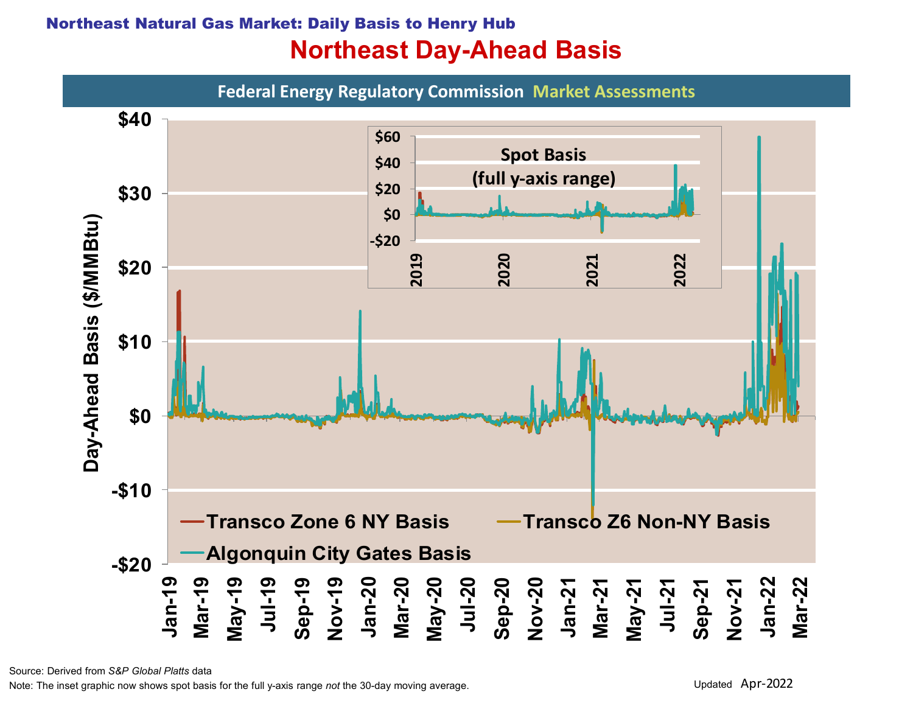## Northeast Natural Gas Market: Daily Basis to Henry Hub Northeast Day-Ahead Basis



Source: Derived from S&P Global Platts data

Note: The inset graphic now shows spot basis for the full y-axis range not the 30-day moving average.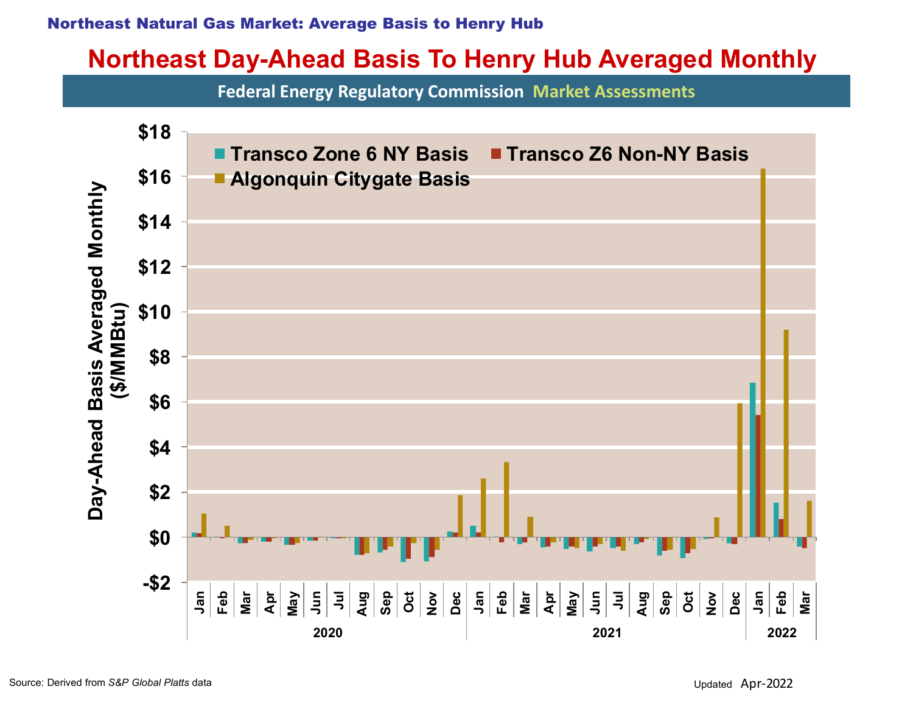#### Northeast Natural Gas Market: Average Basis to Henry Hub

# Northeast Day-Ahead Basis To Henry Hub Averaged Monthly

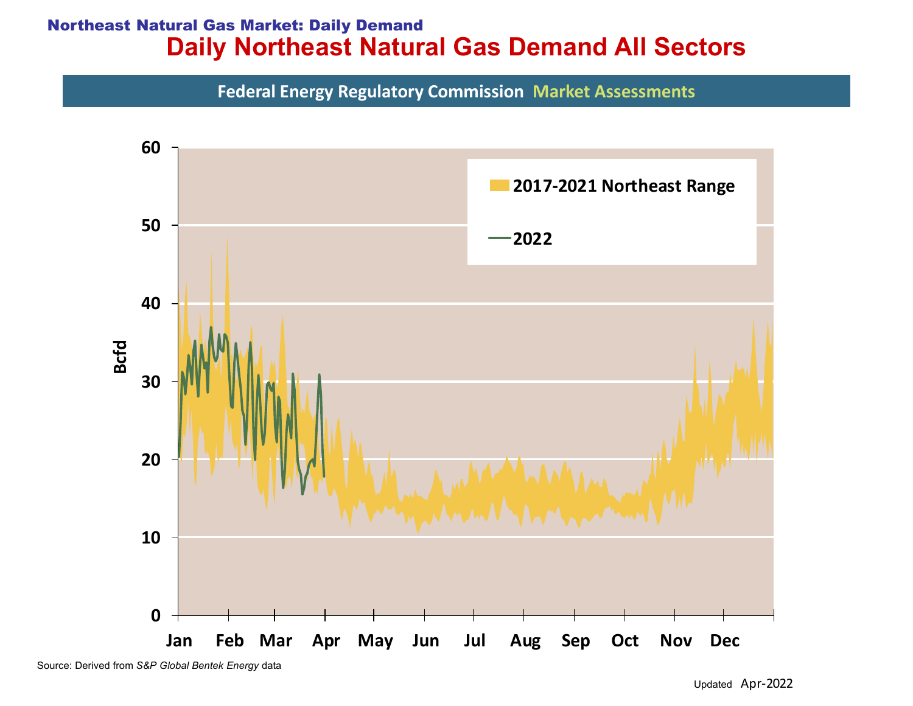### Northeast Natural Gas Market: Daily Demand Daily Northeast Natural Gas Demand All Sectors

Federal Energy Regulatory Commission Market Assessments



Updated Apr-2022